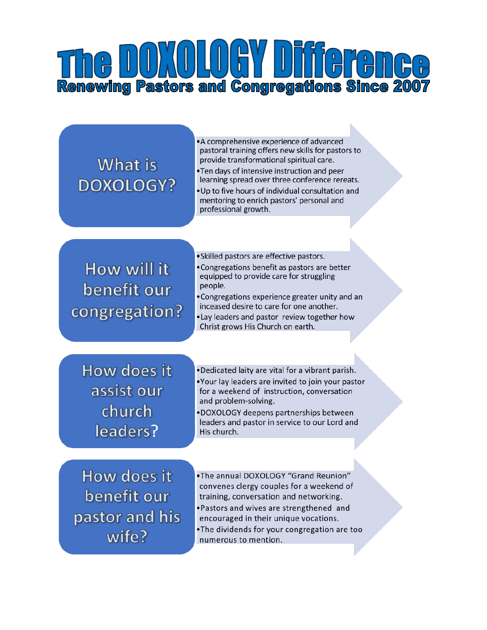# **Renewing Pastors and Congregations Since 2007**

## What is **DOXOLOGY?**

•A comprehensive experience of advanced pastoral training offers new skills for pastors to provide transformational spiritual care. . Ten days of intensive instruction and peer learning spread over three conference rereats. . Up to five hours of individual consultation and mentoring to enrich pastors' personal and professional growth.

### How will it benefit our congregation?

• Skilled pastors are effective pastors.

- Congregations benefit as pastors are better equipped to provide care for struggling people.
- Congregations experience greater unity and an inceased desire to care for one another.
- . Lay leaders and pastor review together how Christ grows His Church on earth.

How does it assist our church leaders?

- .Dedicated laity are vital for a vibrant parish. .Your lay leaders are invited to join your pastor for a weekend of instruction, conversation and problem-solving. DOXOLOGY deepens partnerships between
- leaders and pastor in service to our Lord and His church.

How does it benefit our pastor and his wife?

- .The annual DOXOLOGY "Grand Reunion" convenes clergy couples for a weekend of training, conversation and networking.
- ·Pastors and wives are strengthened and encouraged in their unique vocations.
- .The dividends for your congregation are too numerous to mention.